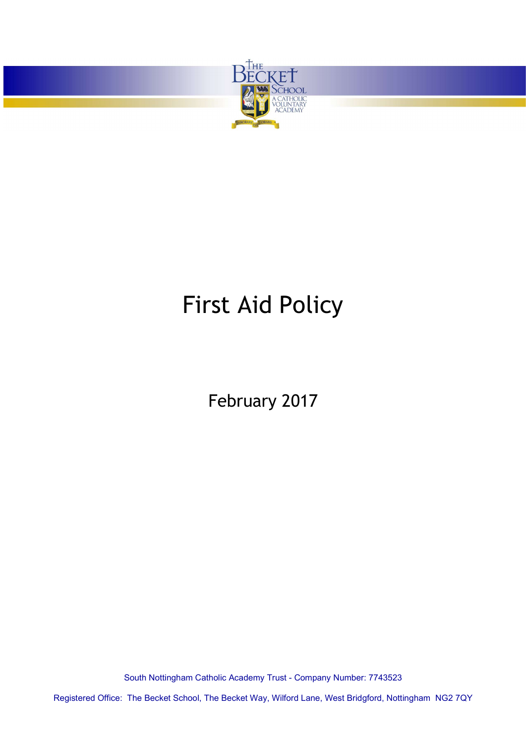

<u> The Company of the Company of the Company of the Company of the Company of the Company of the Company of the Company of the Company of the Company of the Company of the Company of the Company of the Company of the Compan</u>

# First Aid Policy

February 2017

South Nottingham Catholic Academy Trust - Company Number: 7743523

Registered Office: The Becket School, The Becket Way, Wilford Lane, West Bridgford, Nottingham NG2 7QY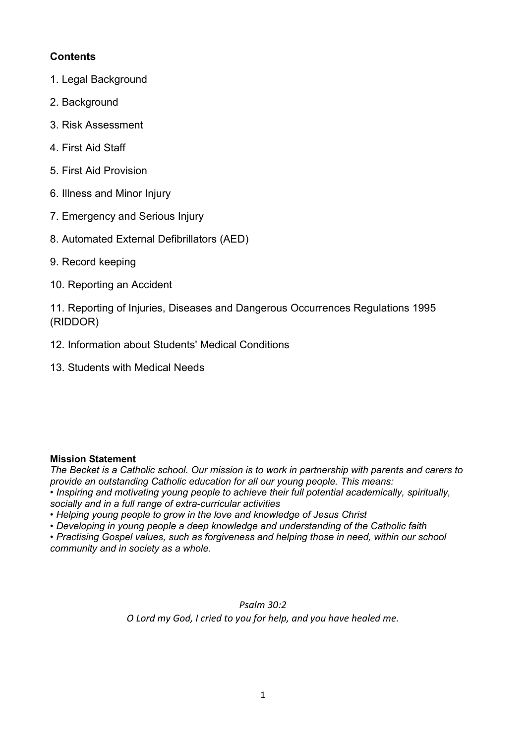### **Contents**

- 1. Legal Background
- 2. Background
- 3. Risk Assessment
- 4. First Aid Staff
- 5. First Aid Provision
- 6. Illness and Minor Injury
- 7. Emergency and Serious Injury
- 8. Automated External Defibrillators (AED)
- 9. Record keeping
- 10. Reporting an Accident

11. Reporting of Injuries, Diseases and Dangerous Occurrences Regulations 1995 (RIDDOR)

- 12. Information about Students' Medical Conditions
- 13. Students with Medical Needs

#### Mission Statement

The Becket is a Catholic school. Our mission is to work in partnership with parents and carers to provide an outstanding Catholic education for all our young people. This means: • Inspiring and motivating young people to achieve their full potential academically, spiritually, socially and in a full range of extra-curricular activities

- Helping young people to grow in the love and knowledge of Jesus Christ
- Developing in young people a deep knowledge and understanding of the Catholic faith

• Practising Gospel values, such as forgiveness and helping those in need, within our school community and in society as a whole.

> Psalm 30:2 O Lord my God, I cried to you for help, and you have healed me.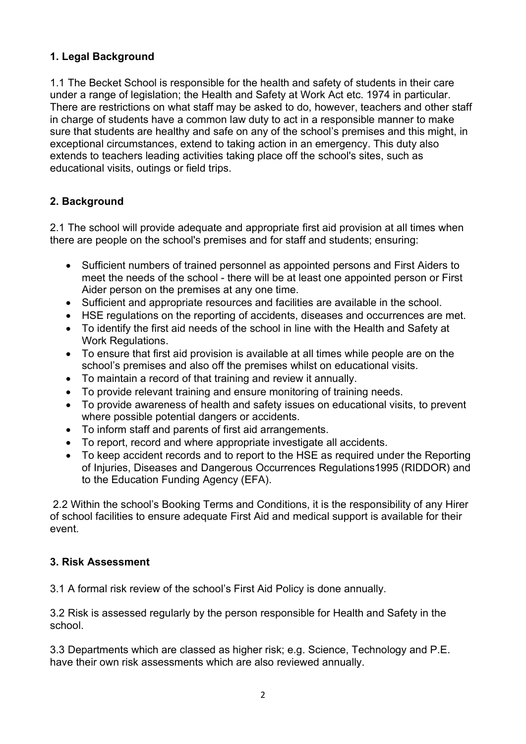# 1. Legal Background

1.1 The Becket School is responsible for the health and safety of students in their care under a range of legislation; the Health and Safety at Work Act etc. 1974 in particular. There are restrictions on what staff may be asked to do, however, teachers and other staff in charge of students have a common law duty to act in a responsible manner to make sure that students are healthy and safe on any of the school's premises and this might, in exceptional circumstances, extend to taking action in an emergency. This duty also extends to teachers leading activities taking place off the school's sites, such as educational visits, outings or field trips.

### 2. Background

2.1 The school will provide adequate and appropriate first aid provision at all times when there are people on the school's premises and for staff and students; ensuring:

- Sufficient numbers of trained personnel as appointed persons and First Aiders to meet the needs of the school - there will be at least one appointed person or First Aider person on the premises at any one time.
- Sufficient and appropriate resources and facilities are available in the school.
- HSE regulations on the reporting of accidents, diseases and occurrences are met.
- To identify the first aid needs of the school in line with the Health and Safety at Work Regulations.
- To ensure that first aid provision is available at all times while people are on the school's premises and also off the premises whilst on educational visits.
- To maintain a record of that training and review it annually.
- To provide relevant training and ensure monitoring of training needs.
- To provide awareness of health and safety issues on educational visits, to prevent where possible potential dangers or accidents.
- To inform staff and parents of first aid arrangements.
- To report, record and where appropriate investigate all accidents.
- To keep accident records and to report to the HSE as required under the Reporting of Injuries, Diseases and Dangerous Occurrences Regulations1995 (RIDDOR) and to the Education Funding Agency (EFA).

 2.2 Within the school's Booking Terms and Conditions, it is the responsibility of any Hirer of school facilities to ensure adequate First Aid and medical support is available for their event.

#### 3. Risk Assessment

3.1 A formal risk review of the school's First Aid Policy is done annually.

3.2 Risk is assessed regularly by the person responsible for Health and Safety in the school.

3.3 Departments which are classed as higher risk; e.g. Science, Technology and P.E. have their own risk assessments which are also reviewed annually.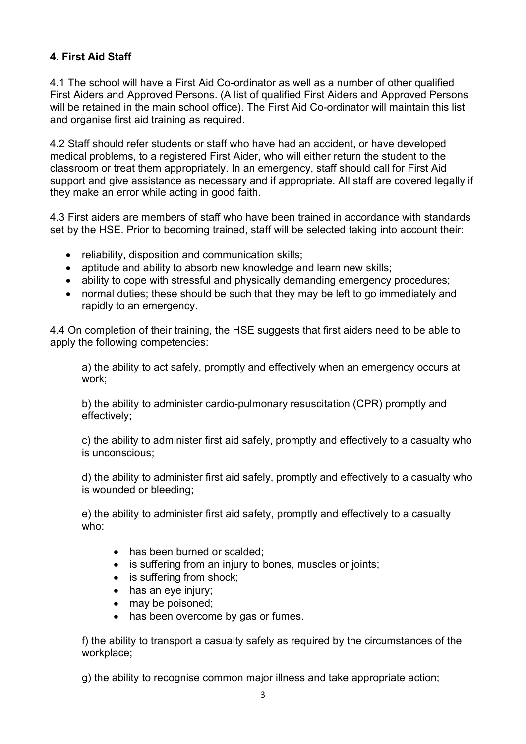# 4. First Aid Staff

4.1 The school will have a First Aid Co-ordinator as well as a number of other qualified First Aiders and Approved Persons. (A list of qualified First Aiders and Approved Persons will be retained in the main school office). The First Aid Co-ordinator will maintain this list and organise first aid training as required.

4.2 Staff should refer students or staff who have had an accident, or have developed medical problems, to a registered First Aider, who will either return the student to the classroom or treat them appropriately. In an emergency, staff should call for First Aid support and give assistance as necessary and if appropriate. All staff are covered legally if they make an error while acting in good faith.

4.3 First aiders are members of staff who have been trained in accordance with standards set by the HSE. Prior to becoming trained, staff will be selected taking into account their:

- reliability, disposition and communication skills;
- aptitude and ability to absorb new knowledge and learn new skills;
- ability to cope with stressful and physically demanding emergency procedures;
- normal duties; these should be such that they may be left to go immediately and rapidly to an emergency.

4.4 On completion of their training, the HSE suggests that first aiders need to be able to apply the following competencies:

a) the ability to act safely, promptly and effectively when an emergency occurs at work;

b) the ability to administer cardio-pulmonary resuscitation (CPR) promptly and effectively;

c) the ability to administer first aid safely, promptly and effectively to a casualty who is unconscious;

d) the ability to administer first aid safely, promptly and effectively to a casualty who is wounded or bleeding;

e) the ability to administer first aid safety, promptly and effectively to a casualty who:

- has been burned or scalded:
- is suffering from an injury to bones, muscles or joints;
- is suffering from shock;
- has an eye injury;
- may be poisoned;
- has been overcome by gas or fumes.

f) the ability to transport a casualty safely as required by the circumstances of the workplace;

g) the ability to recognise common major illness and take appropriate action;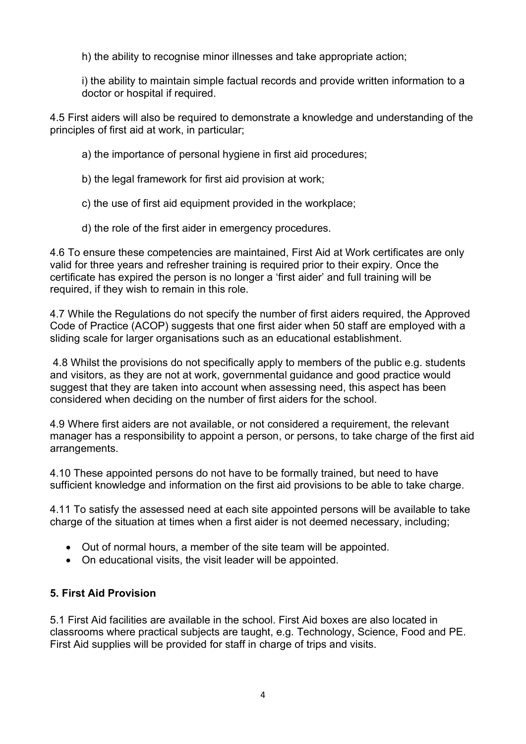h) the ability to recognise minor illnesses and take appropriate action;

i) the ability to maintain simple factual records and provide written information to a doctor or hospital if required.

4.5 First aiders will also be required to demonstrate a knowledge and understanding of the principles of first aid at work, in particular;

a) the importance of personal hygiene in first aid procedures;

b) the legal framework for first aid provision at work;

c) the use of first aid equipment provided in the workplace;

d) the role of the first aider in emergency procedures.

4.6 To ensure these competencies are maintained, First Aid at Work certificates are only valid for three years and refresher training is required prior to their expiry. Once the certificate has expired the person is no longer a 'first aider' and full training will be required, if they wish to remain in this role.

4.7 While the Regulations do not specify the number of first aiders required, the Approved Code of Practice (ACOP) suggests that one first aider when 50 staff are employed with a sliding scale for larger organisations such as an educational establishment.

 4.8 Whilst the provisions do not specifically apply to members of the public e.g. students and visitors, as they are not at work, governmental guidance and good practice would suggest that they are taken into account when assessing need, this aspect has been considered when deciding on the number of first aiders for the school.

4.9 Where first aiders are not available, or not considered a requirement, the relevant manager has a responsibility to appoint a person, or persons, to take charge of the first aid arrangements.

4.10 These appointed persons do not have to be formally trained, but need to have sufficient knowledge and information on the first aid provisions to be able to take charge.

4.11 To satisfy the assessed need at each site appointed persons will be available to take charge of the situation at times when a first aider is not deemed necessary, including;

- Out of normal hours, a member of the site team will be appointed.
- On educational visits, the visit leader will be appointed.

#### 5. First Aid Provision

5.1 First Aid facilities are available in the school. First Aid boxes are also located in classrooms where practical subjects are taught, e.g. Technology, Science, Food and PE. First Aid supplies will be provided for staff in charge of trips and visits.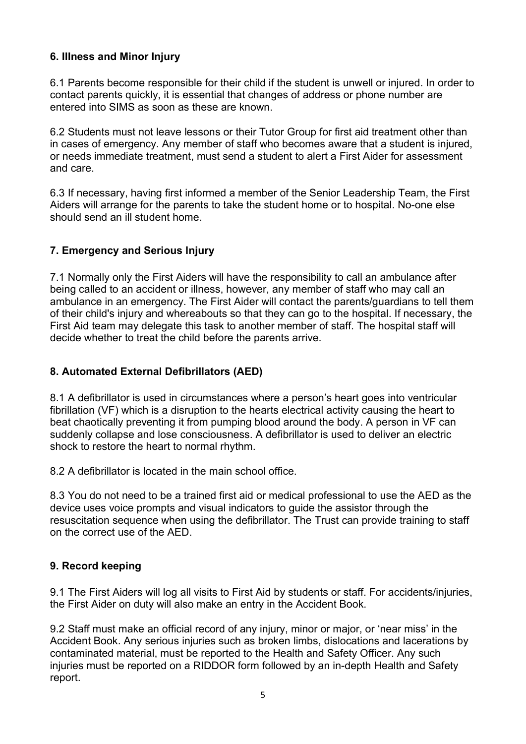#### 6. Illness and Minor Injury

6.1 Parents become responsible for their child if the student is unwell or injured. In order to contact parents quickly, it is essential that changes of address or phone number are entered into SIMS as soon as these are known.

6.2 Students must not leave lessons or their Tutor Group for first aid treatment other than in cases of emergency. Any member of staff who becomes aware that a student is injured, or needs immediate treatment, must send a student to alert a First Aider for assessment and care.

6.3 If necessary, having first informed a member of the Senior Leadership Team, the First Aiders will arrange for the parents to take the student home or to hospital. No-one else should send an ill student home.

# 7. Emergency and Serious Injury

7.1 Normally only the First Aiders will have the responsibility to call an ambulance after being called to an accident or illness, however, any member of staff who may call an ambulance in an emergency. The First Aider will contact the parents/guardians to tell them of their child's injury and whereabouts so that they can go to the hospital. If necessary, the First Aid team may delegate this task to another member of staff. The hospital staff will decide whether to treat the child before the parents arrive.

#### 8. Automated External Defibrillators (AED)

8.1 A defibrillator is used in circumstances where a person's heart goes into ventricular fibrillation (VF) which is a disruption to the hearts electrical activity causing the heart to beat chaotically preventing it from pumping blood around the body. A person in VF can suddenly collapse and lose consciousness. A defibrillator is used to deliver an electric shock to restore the heart to normal rhythm.

8.2 A defibrillator is located in the main school office.

8.3 You do not need to be a trained first aid or medical professional to use the AED as the device uses voice prompts and visual indicators to guide the assistor through the resuscitation sequence when using the defibrillator. The Trust can provide training to staff on the correct use of the AED.

#### 9. Record keeping

9.1 The First Aiders will log all visits to First Aid by students or staff. For accidents/injuries, the First Aider on duty will also make an entry in the Accident Book.

9.2 Staff must make an official record of any injury, minor or major, or 'near miss' in the Accident Book. Any serious injuries such as broken limbs, dislocations and lacerations by contaminated material, must be reported to the Health and Safety Officer. Any such injuries must be reported on a RIDDOR form followed by an in-depth Health and Safety report.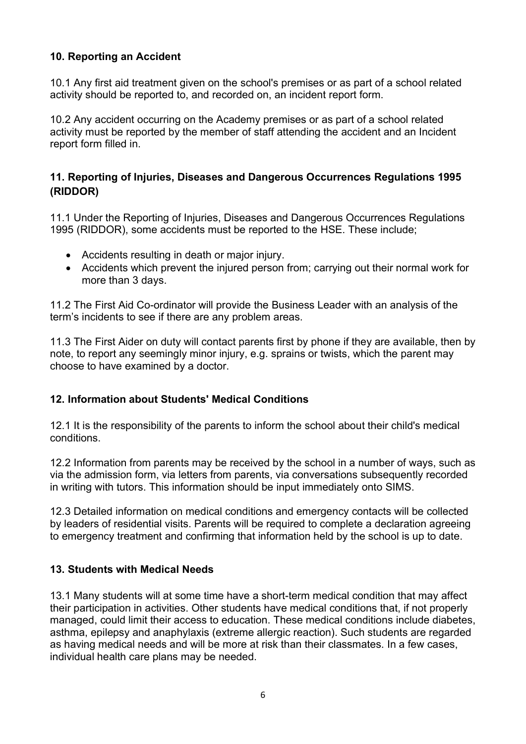#### 10. Reporting an Accident

10.1 Any first aid treatment given on the school's premises or as part of a school related activity should be reported to, and recorded on, an incident report form.

10.2 Any accident occurring on the Academy premises or as part of a school related activity must be reported by the member of staff attending the accident and an Incident report form filled in.

#### 11. Reporting of Injuries, Diseases and Dangerous Occurrences Regulations 1995 (RIDDOR)

11.1 Under the Reporting of Injuries, Diseases and Dangerous Occurrences Regulations 1995 (RIDDOR), some accidents must be reported to the HSE. These include;

- Accidents resulting in death or major injury.
- Accidents which prevent the injured person from; carrying out their normal work for more than 3 days.

11.2 The First Aid Co-ordinator will provide the Business Leader with an analysis of the term's incidents to see if there are any problem areas.

11.3 The First Aider on duty will contact parents first by phone if they are available, then by note, to report any seemingly minor injury, e.g. sprains or twists, which the parent may choose to have examined by a doctor.

#### 12. Information about Students' Medical Conditions

12.1 It is the responsibility of the parents to inform the school about their child's medical conditions.

12.2 Information from parents may be received by the school in a number of ways, such as via the admission form, via letters from parents, via conversations subsequently recorded in writing with tutors. This information should be input immediately onto SIMS.

12.3 Detailed information on medical conditions and emergency contacts will be collected by leaders of residential visits. Parents will be required to complete a declaration agreeing to emergency treatment and confirming that information held by the school is up to date.

#### 13. Students with Medical Needs

13.1 Many students will at some time have a short-term medical condition that may affect their participation in activities. Other students have medical conditions that, if not properly managed, could limit their access to education. These medical conditions include diabetes, asthma, epilepsy and anaphylaxis (extreme allergic reaction). Such students are regarded as having medical needs and will be more at risk than their classmates. In a few cases, individual health care plans may be needed.